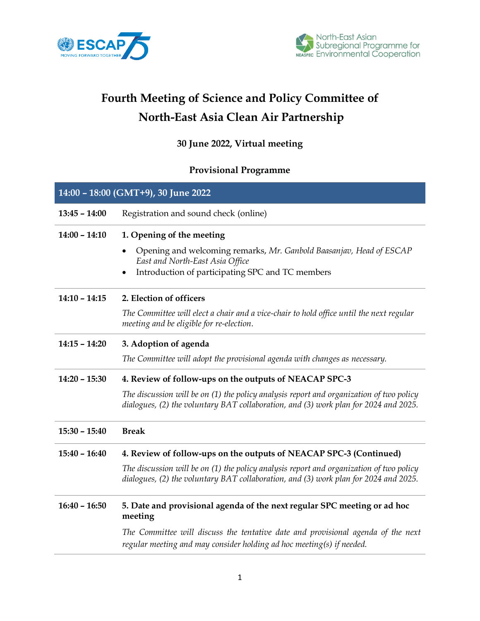



# **Fourth Meeting of Science and Policy Committee of North-East Asia Clean Air Partnership**

## **30 June 2022, Virtual meeting**

## **Provisional Programme**

| 14:00 - 18:00 (GMT+9), 30 June 2022 |                                                                                                                                                                                 |
|-------------------------------------|---------------------------------------------------------------------------------------------------------------------------------------------------------------------------------|
| $13:45 - 14:00$                     | Registration and sound check (online)                                                                                                                                           |
| $14:00 - 14:10$                     | 1. Opening of the meeting                                                                                                                                                       |
|                                     | Opening and welcoming remarks, Mr. Ganbold Baasanjav, Head of ESCAP<br>East and North-East Asia Office<br>Introduction of participating SPC and TC members                      |
| $14:10 - 14:15$                     | 2. Election of officers                                                                                                                                                         |
|                                     | The Committee will elect a chair and a vice-chair to hold office until the next regular<br>meeting and be eligible for re-election.                                             |
| $14:15 - 14:20$                     | 3. Adoption of agenda                                                                                                                                                           |
|                                     | The Committee will adopt the provisional agenda with changes as necessary.                                                                                                      |
| $14:20 - 15:30$                     | 4. Review of follow-ups on the outputs of NEACAP SPC-3                                                                                                                          |
|                                     | The discussion will be on (1) the policy analysis report and organization of two policy<br>dialogues, (2) the voluntary BAT collaboration, and (3) work plan for 2024 and 2025. |
| $15:30 - 15:40$                     | <b>Break</b>                                                                                                                                                                    |
| $15:40 - 16:40$                     | 4. Review of follow-ups on the outputs of NEACAP SPC-3 (Continued)                                                                                                              |
|                                     | The discussion will be on (1) the policy analysis report and organization of two policy<br>dialogues, (2) the voluntary BAT collaboration, and (3) work plan for 2024 and 2025. |
| $16:40 - 16:50$                     | 5. Date and provisional agenda of the next regular SPC meeting or ad hoc<br>meeting                                                                                             |
|                                     | The Committee will discuss the tentative date and provisional agenda of the next<br>regular meeting and may consider holding ad hoc meeting(s) if needed.                       |